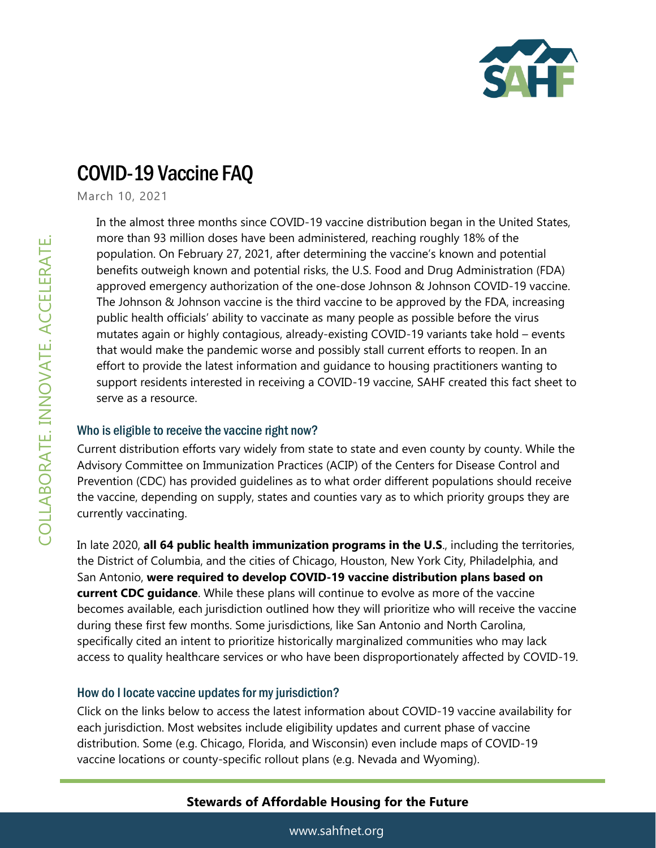

# COVID-19 Vaccine FAQ

March 10, 2021

In the almost three months since COVID-19 vaccine distribution began in the United States, more than 93 million doses have been administered, reaching roughly 18% of the population. On February 27, 2021, after determining the vaccine's known and potential benefits outweigh known and potential risks, the U.S. Food and Drug Administration (FDA) approved emergency authorization of the one-dose Johnson & Johnson COVID-19 vaccine. The Johnson & Johnson vaccine is the third vaccine to be approved by the FDA, increasing public health officials' ability to vaccinate as many people as possible before the virus mutates again or highly contagious, already-existing COVID-19 variants take hold – events that would make the pandemic worse and possibly stall current efforts to reopen. In an effort to provide the latest information and guidance to housing practitioners wanting to support residents interested in receiving a COVID-19 vaccine, SAHF created this fact sheet to serve as a resource.

#### Who is eligible to receive the vaccine right now?

Current distribution efforts vary widely from state to state and even county by county. While the Advisory Committee on Immunization Practices (ACIP) of the Centers for Disease Control and Prevention (CDC) has provided guidelines as to what order different populations should receive the vaccine, depending on supply, states and counties vary as to which priority groups they are currently vaccinating.

In late 2020, **all 64 public health immunization programs in the U.S**., including the territories, the District of Columbia, and the cities of Chicago, Houston, New York City, Philadelphia, and San Antonio, **were required to develop COVID-19 vaccine distribution plans based on current CDC guidance**. While these plans will continue to evolve as more of the vaccine becomes available, each jurisdiction outlined how they will prioritize who will receive the vaccine during these first few months. Some jurisdictions, like San Antonio and North Carolina, specifically cited an intent to prioritize historically marginalized communities who may lack access to quality healthcare services or who have been disproportionately affected by COVID-19.

#### How do I locate vaccine updates for my jurisdiction?

Click on the links below to access the latest information about COVID-19 vaccine availability for each jurisdiction. Most websites include eligibility updates and current phase of vaccine distribution. Some (e.g. Chicago, Florida, and Wisconsin) even include maps of COVID-19 vaccine locations or county-specific rollout plans (e.g. Nevada and Wyoming).

## **Stewards of Affordable Housing for the Future**

www.sahfnet.org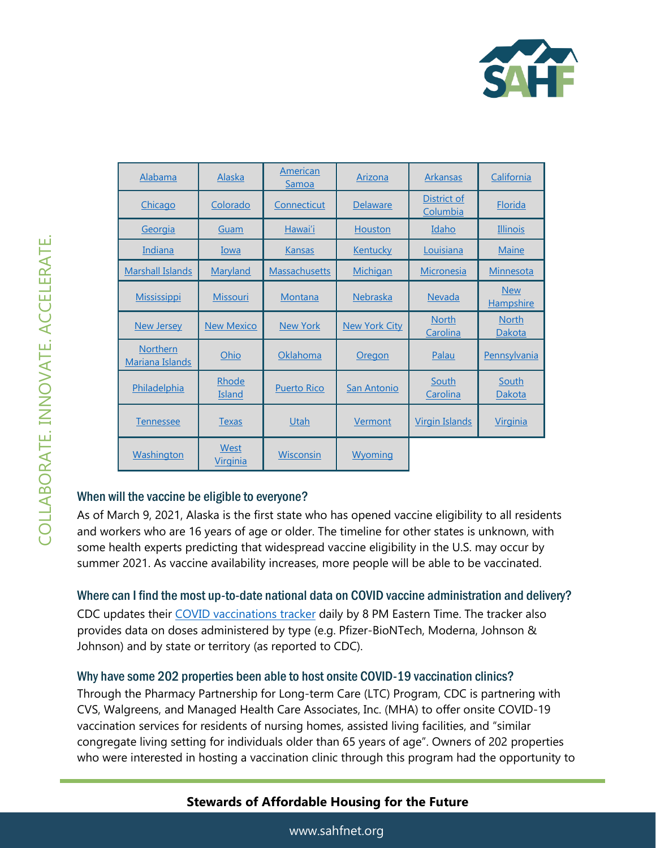

| Alabama                            | <u>Alaska</u>           | American<br>Samoa    | Arizona              | <b>Arkansas</b>          | California                     |
|------------------------------------|-------------------------|----------------------|----------------------|--------------------------|--------------------------------|
| Chicago                            | Colorado                | Connecticut          | Delaware             | District of<br>Columbia  | Florida                        |
| Georgia                            | Guam                    | Hawai'i              | Houston              | Idaho                    | <b>Illinois</b>                |
| Indiana                            | Iowa                    | <b>Kansas</b>        | <b>Kentucky</b>      | Louisiana                | <b>Maine</b>                   |
| <b>Marshall Islands</b>            | <b>Maryland</b>         | <b>Massachusetts</b> | <u>Michigan</u>      | <b>Micronesia</b>        | Minnesota                      |
| <b>Mississippi</b>                 | <b>Missouri</b>         | Montana              | <b>Nebraska</b>      | <b>Nevada</b>            | <b>New</b><br><b>Hampshire</b> |
| <b>New Jersey</b>                  | <b>New Mexico</b>       | <b>New York</b>      | <b>New York City</b> | <b>North</b><br>Carolina | <b>North</b><br>Dakota         |
| <b>Northern</b><br>Mariana Islands | Ohio                    | Oklahoma             | <b>Oregon</b>        | <b>Palau</b>             | <b>Pennsylvania</b>            |
| Philadelphia                       | Rhode<br>Island         | <b>Puerto Rico</b>   | San Antonio          | South<br>Carolina        | South<br>Dakota                |
| <b>Tennessee</b>                   | <b>Texas</b>            | Utah                 | Vermont              | <u>Virgin Islands</u>    | <u>Virginia</u>                |
| <b>Washington</b>                  | West<br><u>Virginia</u> | Wisconsin            | <u>Wyoming</u>       |                          |                                |

## When will the vaccine be eligible to everyone?

As of March 9, 2021, Alaska is the first state who has opened vaccine eligibility to all residents and workers who are 16 years of age or older. The timeline for other states is unknown, with some health experts predicting that widespread vaccine eligibility in the U.S. may occur by summer 2021. As vaccine availability increases, more people will be able to be vaccinated.

Where can I find the most up-to-date national data on COVID vaccine administration and delivery? CDC updates their [COVID vaccinations tracker](https://covid.cdc.gov/covid-data-tracker/#vaccinations) daily by 8 PM Eastern Time. The tracker also provides data on doses administered by type (e.g. Pfizer-BioNTech, Moderna, Johnson & Johnson) and by state or territory (as reported to CDC).

## Why have some 202 properties been able to host onsite COVID-19 vaccination clinics?

Through the Pharmacy Partnership for Long-term Care (LTC) Program, CDC is partnering with CVS, Walgreens, and Managed Health Care Associates, Inc. (MHA) to offer onsite COVID-19 vaccination services for residents of nursing homes, assisted living facilities, and "similar congregate living setting for individuals older than 65 years of age". Owners of 202 properties who were interested in hosting a vaccination clinic through this program had the opportunity to

# **Stewards of Affordable Housing for the Future**

www.sahfnet.org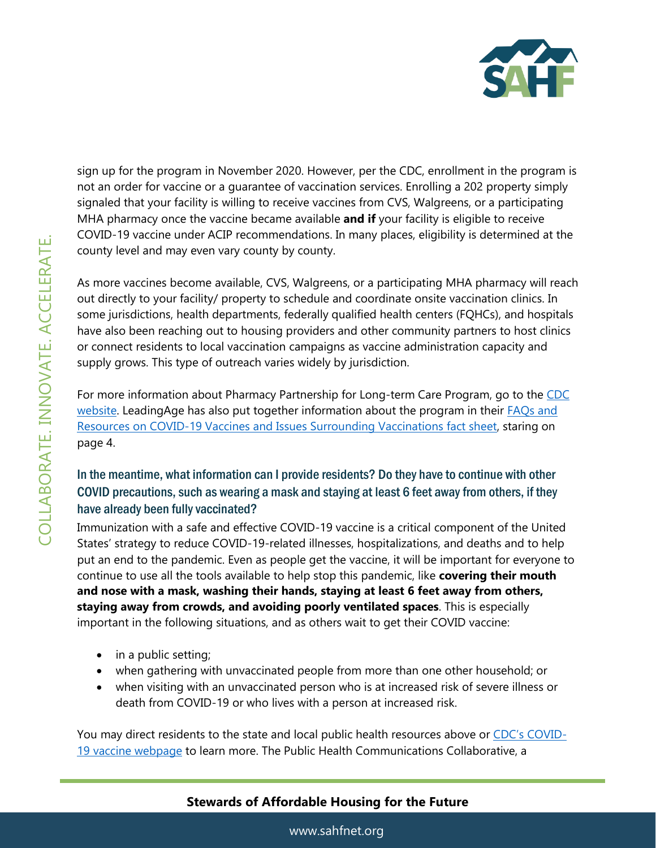

sign up for the program in November 2020. However, per the CDC, enrollment in the program is not an order for vaccine or a guarantee of vaccination services. Enrolling a 202 property simply signaled that your facility is willing to receive vaccines from CVS, Walgreens, or a participating MHA pharmacy once the vaccine became available **and if** your facility is eligible to receive COVID-19 vaccine under ACIP recommendations. In many places, eligibility is determined at the county level and may even vary county by county.

As more vaccines become available, CVS, Walgreens, or a participating MHA pharmacy will reach out directly to your facility/ property to schedule and coordinate onsite vaccination clinics. In some jurisdictions, health departments, federally qualified health centers (FQHCs), and hospitals have also been reaching out to housing providers and other community partners to host clinics or connect residents to local vaccination campaigns as vaccine administration capacity and supply grows. This type of outreach varies widely by jurisdiction.

For more information about Pharmacy Partnership for Long-term Care Program, go to the [CDC](https://www.cdc.gov/vaccines/covid-19/long-term-care/pharmacy-partnerships.html)  [website.](https://www.cdc.gov/vaccines/covid-19/long-term-care/pharmacy-partnerships.html) LeadingAge has also put together information about the program in their **FAQs** and [Resources on COVID-19 Vaccines and Issues Surrounding Vaccinations fact sheet,](https://www.leadingage.org/sites/default/files/FAQs%20and%20Resources%20on%20COVID-19%20Vaccines%20-%20Dec%2015.pdf?_ga=2.28138809.440668305.1608326018-1299238543.1606690566) staring on page 4.

## In the meantime, what information can I provide residents? Do they have to continue with other COVID precautions, such as wearing a mask and staying at least 6 feet away from others, if they have already been fully vaccinated?

Immunization with a safe and effective COVID-19 vaccine is a critical component of the United States' strategy to reduce COVID-19-related illnesses, hospitalizations, and deaths and to help put an end to the pandemic. Even as people get the vaccine, it will be important for everyone to continue to use all the tools available to help stop this pandemic, like **covering their mouth and nose with a mask, washing their hands, staying at least 6 feet away from others, staying away from crowds, and avoiding poorly ventilated spaces**. This is especially important in the following situations, and as others wait to get their COVID vaccine:

- in a public setting;
- when gathering with unvaccinated people from more than one other household; or
- when visiting with an unvaccinated person who is at increased risk of severe illness or death from COVID-19 or who lives with a person at increased risk.

You may direct residents to the state and local public health resources above or [CDC's COVID](https://www.cdc.gov/coronavirus/2019-ncov/vaccines/index.html)-[19 vaccine webpage](https://www.cdc.gov/coronavirus/2019-ncov/vaccines/index.html) to learn more. The Public Health Communications Collaborative, a

# **Stewards of Affordable Housing for the Future**

www.sahfnet.org